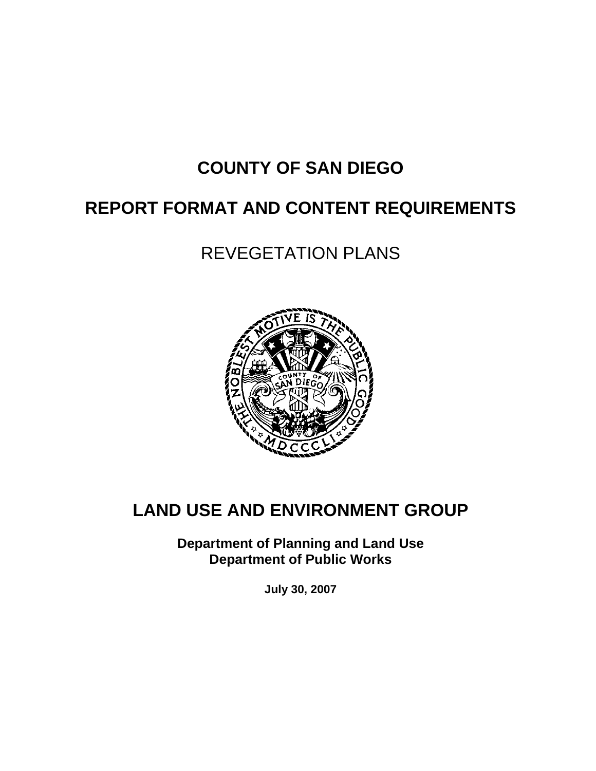# **COUNTY OF SAN DIEGO**

# **REPORT FORMAT AND CONTENT REQUIREMENTS**

# REVEGETATION PLANS



## **LAND USE AND ENVIRONMENT GROUP**

**Department of Planning and Land Use Department of Public Works** 

**July 30, 2007**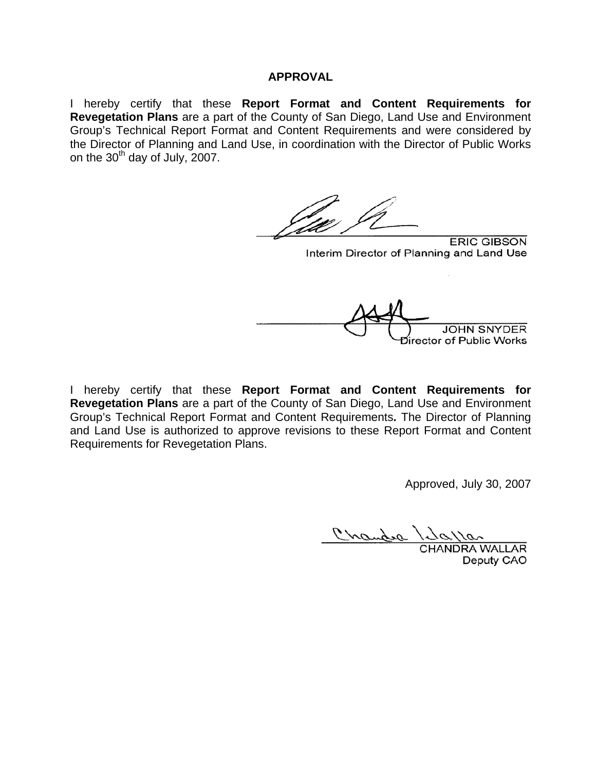#### **APPROVAL**

I hereby certify that these **Report Format and Content Requirements for Revegetation Plans** are a part of the County of San Diego, Land Use and Environment Group's Technical Report Format and Content Requirements and were considered by the Director of Planning and Land Use, in coordination with the Director of Public Works on the  $30<sup>th</sup>$  day of July, 2007.

**ERIC GIBSON** Interim Director of Planning and Land Use **JOHN SNYDER** Director of Public Works

I hereby certify that these **Report Format and Content Requirements for Revegetation Plans** are a part of the County of San Diego, Land Use and Environment Group's Technical Report Format and Content Requirements**.** The Director of Planning and Land Use is authorized to approve revisions to these Report Format and Content Requirements for Revegetation Plans.

Approved, July 30, 2007

Crandra

CHANDRA WALLAR Deputy CAO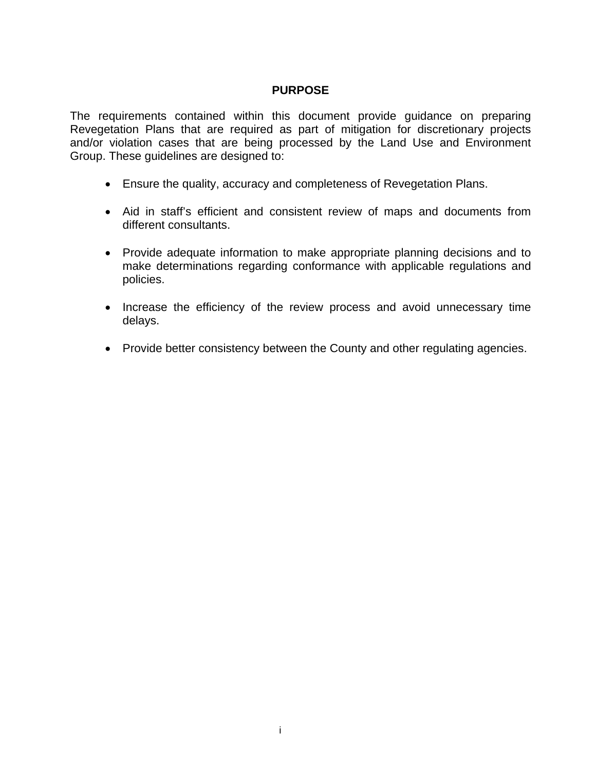#### **PURPOSE**

The requirements contained within this document provide guidance on preparing Revegetation Plans that are required as part of mitigation for discretionary projects and/or violation cases that are being processed by the Land Use and Environment Group. These guidelines are designed to:

- Ensure the quality, accuracy and completeness of Revegetation Plans.
- Aid in staff's efficient and consistent review of maps and documents from different consultants.
- Provide adequate information to make appropriate planning decisions and to make determinations regarding conformance with applicable regulations and policies.
- Increase the efficiency of the review process and avoid unnecessary time delays.
- Provide better consistency between the County and other regulating agencies.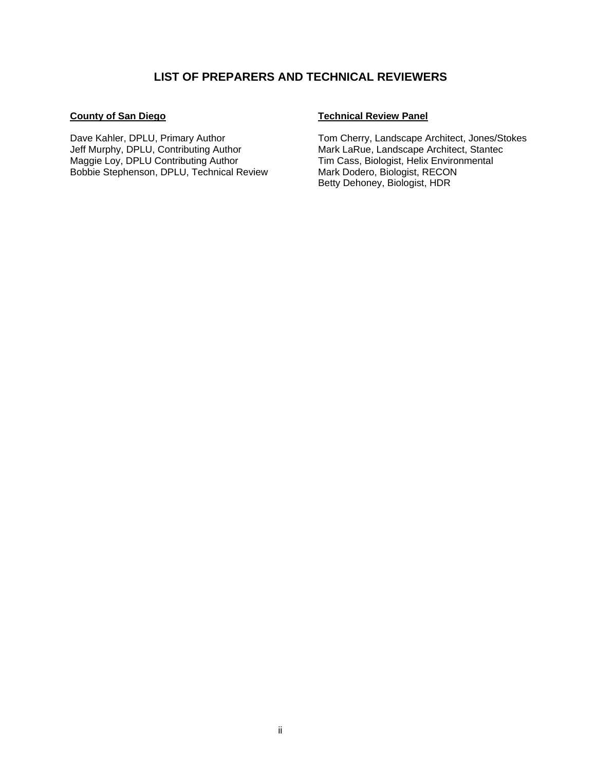#### **LIST OF PREPARERS AND TECHNICAL REVIEWERS**

#### **County of San Diego**

Dave Kahler, DPLU, Primary Author Jeff Murphy, DPLU, Contributing Author Maggie Loy, DPLU Contributing Author Bobbie Stephenson, DPLU, Technical Review

#### **Technical Review Panel**

Tom Cherry, Landscape Architect, Jones/Stokes Mark LaRue, Landscape Architect, Stantec Tim Cass, Biologist, Helix Environmental Mark Dodero, Biologist, RECON Betty Dehoney, Biologist, HDR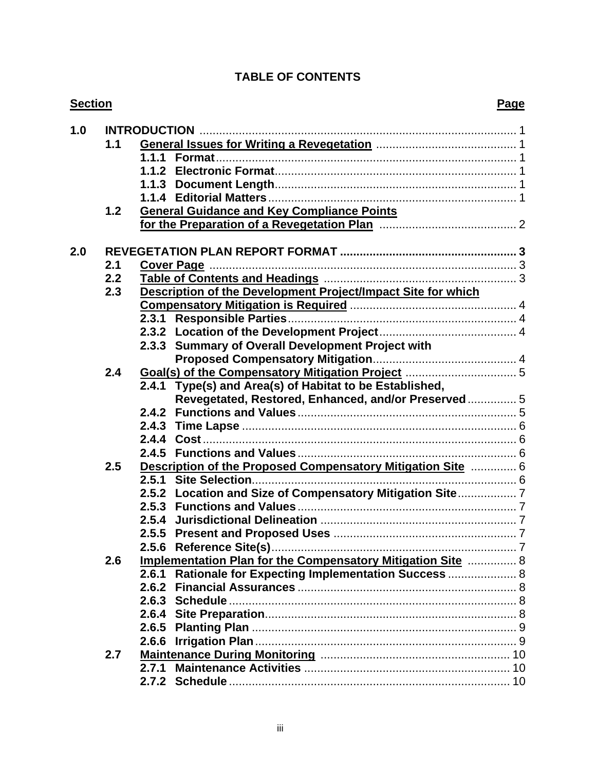## **TABLE OF CONTENTS**

| <b>Section</b> |     |       |                                                              |  |  |
|----------------|-----|-------|--------------------------------------------------------------|--|--|
| 1.0            |     |       |                                                              |  |  |
|                | 1.1 |       |                                                              |  |  |
|                |     |       |                                                              |  |  |
|                |     |       |                                                              |  |  |
|                |     |       |                                                              |  |  |
|                |     |       |                                                              |  |  |
|                | 1.2 |       | <b>General Guidance and Key Compliance Points</b>            |  |  |
|                |     |       |                                                              |  |  |
|                |     |       |                                                              |  |  |
| 2.0            |     |       |                                                              |  |  |
|                | 2.1 |       |                                                              |  |  |
|                | 2.2 |       |                                                              |  |  |
|                | 2.3 |       | Description of the Development Project/Impact Site for which |  |  |
|                |     |       |                                                              |  |  |
|                |     |       |                                                              |  |  |
|                |     |       |                                                              |  |  |
|                |     |       | 2.3.3 Summary of Overall Development Project with            |  |  |
|                |     |       |                                                              |  |  |
|                | 2.4 |       |                                                              |  |  |
|                |     |       | 2.4.1 Type(s) and Area(s) of Habitat to be Established,      |  |  |
|                |     |       | Revegetated, Restored, Enhanced, and/or Preserved 5          |  |  |
|                |     |       |                                                              |  |  |
|                |     |       |                                                              |  |  |
|                |     |       |                                                              |  |  |
|                |     |       |                                                              |  |  |
|                | 2.5 |       | Description of the Proposed Compensatory Mitigation Site  6  |  |  |
|                |     |       |                                                              |  |  |
|                |     | 2.5.2 |                                                              |  |  |
|                |     |       |                                                              |  |  |
|                |     |       |                                                              |  |  |
|                |     |       |                                                              |  |  |
|                |     | 2.5.6 |                                                              |  |  |
|                | 2.6 |       | Implementation Plan for the Compensatory Mitigation Site  8  |  |  |
|                |     |       | 2.6.1 Rationale for Expecting Implementation Success  8      |  |  |
|                |     | 2.6.2 |                                                              |  |  |
|                |     |       |                                                              |  |  |
|                |     |       |                                                              |  |  |
|                |     |       |                                                              |  |  |
|                |     | 2.6.6 |                                                              |  |  |
|                | 2.7 |       |                                                              |  |  |
|                |     | 2.7.1 |                                                              |  |  |
|                |     |       |                                                              |  |  |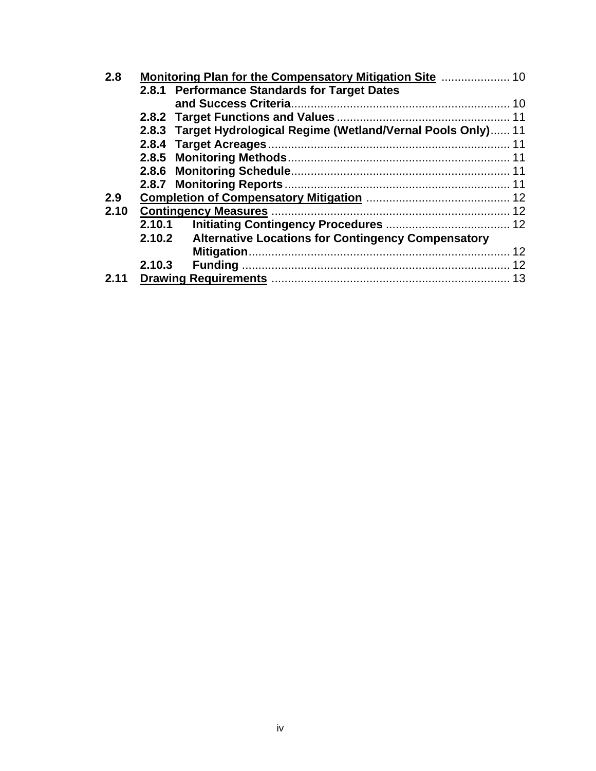| 2.8  |        |                                                                 |  |  |  |
|------|--------|-----------------------------------------------------------------|--|--|--|
|      |        | 2.8.1 Performance Standards for Target Dates                    |  |  |  |
|      |        |                                                                 |  |  |  |
|      |        |                                                                 |  |  |  |
|      |        | 2.8.3 Target Hydrological Regime (Wetland/Vernal Pools Only) 11 |  |  |  |
|      |        |                                                                 |  |  |  |
|      |        |                                                                 |  |  |  |
|      |        |                                                                 |  |  |  |
|      |        |                                                                 |  |  |  |
| 2.9  |        |                                                                 |  |  |  |
| 2.10 |        |                                                                 |  |  |  |
|      |        |                                                                 |  |  |  |
|      |        | 2.10.2 Alternative Locations for Contingency Compensatory       |  |  |  |
|      |        |                                                                 |  |  |  |
|      | 2.10.3 |                                                                 |  |  |  |
| 2.11 |        |                                                                 |  |  |  |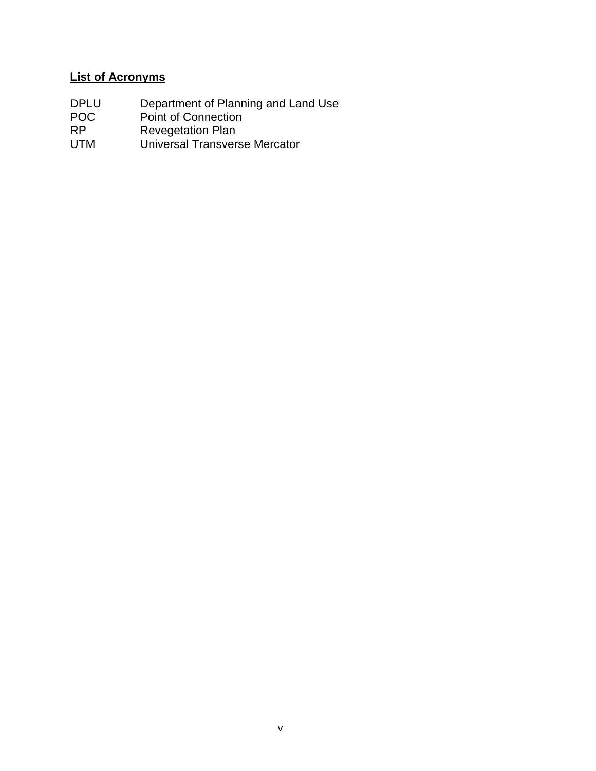## **List of Acronyms**

- DPLU Department of Planning and Land Use
- POC Point of Connection
- RP Revegetation Plan
- UTM Universal Transverse Mercator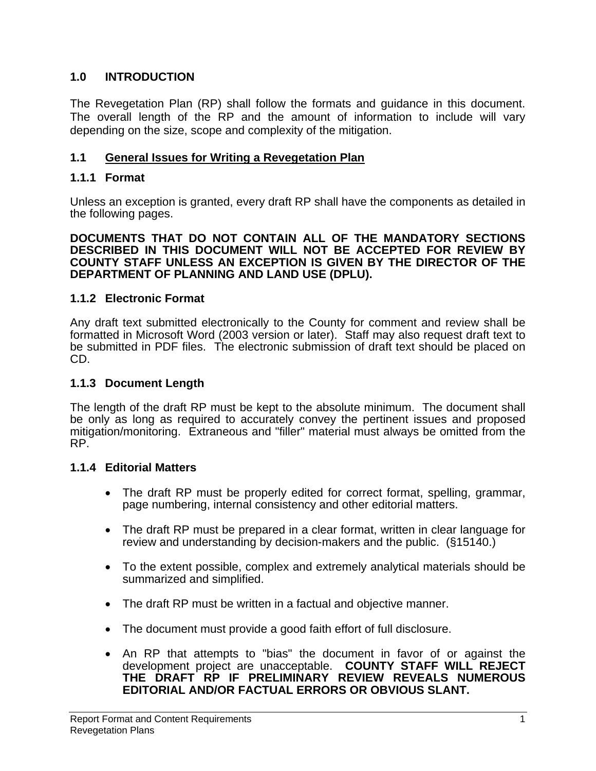#### **1.0 INTRODUCTION**

The Revegetation Plan (RP) shall follow the formats and guidance in this document. The overall length of the RP and the amount of information to include will vary depending on the size, scope and complexity of the mitigation.

#### **1.1 General Issues for Writing a Revegetation Plan**

#### **1.1.1 Format**

Unless an exception is granted, every draft RP shall have the components as detailed in the following pages.

**DOCUMENTS THAT DO NOT CONTAIN ALL OF THE MANDATORY SECTIONS DESCRIBED IN THIS DOCUMENT WILL NOT BE ACCEPTED FOR REVIEW BY COUNTY STAFF UNLESS AN EXCEPTION IS GIVEN BY THE DIRECTOR OF THE DEPARTMENT OF PLANNING AND LAND USE (DPLU).**

#### **1.1.2 Electronic Format**

Any draft text submitted electronically to the County for comment and review shall be formatted in Microsoft Word (2003 version or later). Staff may also request draft text to be submitted in PDF files. The electronic submission of draft text should be placed on CD.

#### **1.1.3 Document Length**

The length of the draft RP must be kept to the absolute minimum. The document shall be only as long as required to accurately convey the pertinent issues and proposed mitigation/monitoring. Extraneous and "filler" material must always be omitted from the RP.

#### **1.1.4 Editorial Matters**

- The draft RP must be properly edited for correct format, spelling, grammar, page numbering, internal consistency and other editorial matters.
- The draft RP must be prepared in a clear format, written in clear language for review and understanding by decision-makers and the public. (§15140.)
- To the extent possible, complex and extremely analytical materials should be summarized and simplified.
- The draft RP must be written in a factual and objective manner.
- The document must provide a good faith effort of full disclosure.
- An RP that attempts to "bias" the document in favor of or against the development project are unacceptable. **COUNTY STAFF WILL REJECT THE DRAFT RP IF PRELIMINARY REVIEW REVEALS NUMEROUS EDITORIAL AND/OR FACTUAL ERRORS OR OBVIOUS SLANT.**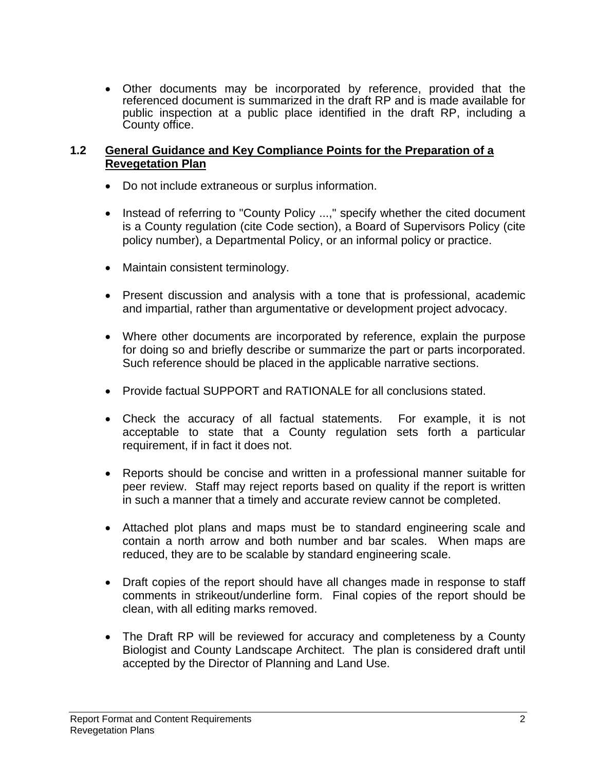• Other documents may be incorporated by reference, provided that the referenced document is summarized in the draft RP and is made available for public inspection at a public place identified in the draft RP, including a County office.

#### **1.2 General Guidance and Key Compliance Points for the Preparation of a Revegetation Plan**

- Do not include extraneous or surplus information.
- Instead of referring to "County Policy ...," specify whether the cited document is a County regulation (cite Code section), a Board of Supervisors Policy (cite policy number), a Departmental Policy, or an informal policy or practice.
- Maintain consistent terminology.
- Present discussion and analysis with a tone that is professional, academic and impartial, rather than argumentative or development project advocacy.
- Where other documents are incorporated by reference, explain the purpose for doing so and briefly describe or summarize the part or parts incorporated. Such reference should be placed in the applicable narrative sections.
- Provide factual SUPPORT and RATIONALE for all conclusions stated.
- Check the accuracy of all factual statements. For example, it is not acceptable to state that a County regulation sets forth a particular requirement, if in fact it does not.
- Reports should be concise and written in a professional manner suitable for peer review. Staff may reject reports based on quality if the report is written in such a manner that a timely and accurate review cannot be completed.
- Attached plot plans and maps must be to standard engineering scale and contain a north arrow and both number and bar scales. When maps are reduced, they are to be scalable by standard engineering scale.
- Draft copies of the report should have all changes made in response to staff comments in strikeout/underline form. Final copies of the report should be clean, with all editing marks removed.
- The Draft RP will be reviewed for accuracy and completeness by a County Biologist and County Landscape Architect. The plan is considered draft until accepted by the Director of Planning and Land Use.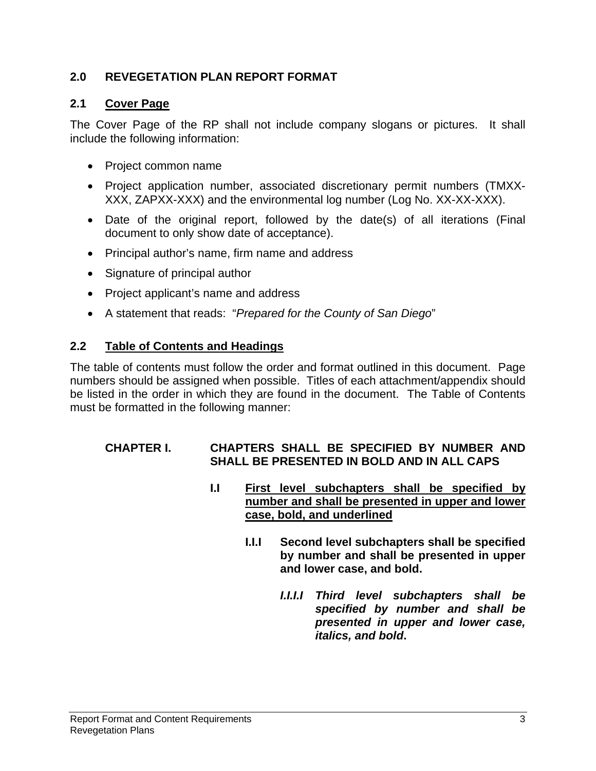## **2.0 REVEGETATION PLAN REPORT FORMAT**

## **2.1 Cover Page**

The Cover Page of the RP shall not include company slogans or pictures. It shall include the following information:

- Project common name
- Project application number, associated discretionary permit numbers (TMXX-XXX, ZAPXX-XXX) and the environmental log number (Log No. XX-XX-XXX).
- Date of the original report, followed by the date(s) of all iterations (Final document to only show date of acceptance).
- Principal author's name, firm name and address
- Signature of principal author
- Project applicant's name and address
- A statement that reads: "*Prepared for the County of San Diego*"

#### **2.2 Table of Contents and Headings**

The table of contents must follow the order and format outlined in this document. Page numbers should be assigned when possible. Titles of each attachment/appendix should be listed in the order in which they are found in the document. The Table of Contents must be formatted in the following manner:

#### **CHAPTER I. CHAPTERS SHALL BE SPECIFIED BY NUMBER AND SHALL BE PRESENTED IN BOLD AND IN ALL CAPS**

- **I.I First level subchapters shall be specified by number and shall be presented in upper and lower case, bold, and underlined**
	- **I.I.I Second level subchapters shall be specified by number and shall be presented in upper and lower case, and bold.** 
		- *I.I.I.I Third level subchapters shall be specified by number and shall be presented in upper and lower case, italics, and bold***.**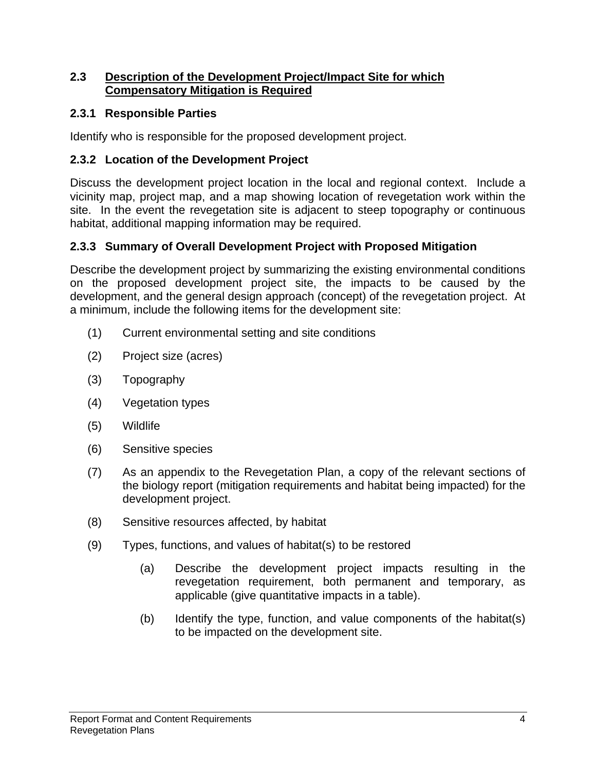#### **2.3 Description of the Development Project/Impact Site for which Compensatory Mitigation is Required**

#### **2.3.1 Responsible Parties**

Identify who is responsible for the proposed development project.

## **2.3.2 Location of the Development Project**

Discuss the development project location in the local and regional context. Include a vicinity map, project map, and a map showing location of revegetation work within the site. In the event the revegetation site is adjacent to steep topography or continuous habitat, additional mapping information may be required.

## **2.3.3 Summary of Overall Development Project with Proposed Mitigation**

Describe the development project by summarizing the existing environmental conditions on the proposed development project site, the impacts to be caused by the development, and the general design approach (concept) of the revegetation project. At a minimum, include the following items for the development site:

- (1) Current environmental setting and site conditions
- (2) Project size (acres)
- (3) Topography
- (4) Vegetation types
- (5) Wildlife
- (6) Sensitive species
- (7) As an appendix to the Revegetation Plan, a copy of the relevant sections of the biology report (mitigation requirements and habitat being impacted) for the development project.
- (8) Sensitive resources affected, by habitat
- (9) Types, functions, and values of habitat(s) to be restored
	- (a) Describe the development project impacts resulting in the revegetation requirement, both permanent and temporary, as applicable (give quantitative impacts in a table).
	- (b) Identify the type, function, and value components of the habitat(s) to be impacted on the development site.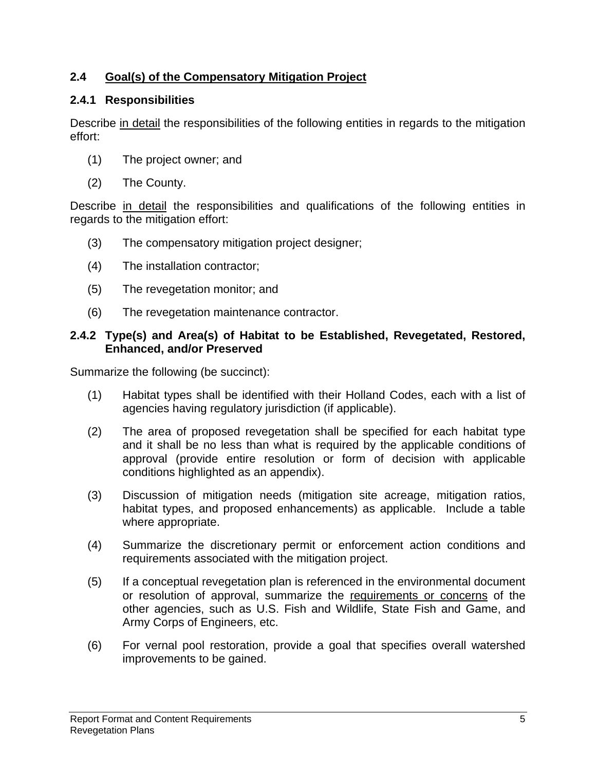## **2.4 Goal(s) of the Compensatory Mitigation Project**

## **2.4.1 Responsibilities**

Describe in detail the responsibilities of the following entities in regards to the mitigation effort:

- (1) The project owner; and
- (2) The County.

Describe in detail the responsibilities and qualifications of the following entities in regards to the mitigation effort:

- (3) The compensatory mitigation project designer;
- (4) The installation contractor;
- (5) The revegetation monitor; and
- (6) The revegetation maintenance contractor.

#### **2.4.2 Type(s) and Area(s) of Habitat to be Established, Revegetated, Restored, Enhanced, and/or Preserved**

Summarize the following (be succinct):

- (1) Habitat types shall be identified with their Holland Codes, each with a list of agencies having regulatory jurisdiction (if applicable).
- (2) The area of proposed revegetation shall be specified for each habitat type and it shall be no less than what is required by the applicable conditions of approval (provide entire resolution or form of decision with applicable conditions highlighted as an appendix).
- (3) Discussion of mitigation needs (mitigation site acreage, mitigation ratios, habitat types, and proposed enhancements) as applicable. Include a table where appropriate.
- (4) Summarize the discretionary permit or enforcement action conditions and requirements associated with the mitigation project.
- (5) If a conceptual revegetation plan is referenced in the environmental document or resolution of approval, summarize the requirements or concerns of the other agencies, such as U.S. Fish and Wildlife, State Fish and Game, and Army Corps of Engineers, etc.
- (6) For vernal pool restoration, provide a goal that specifies overall watershed improvements to be gained.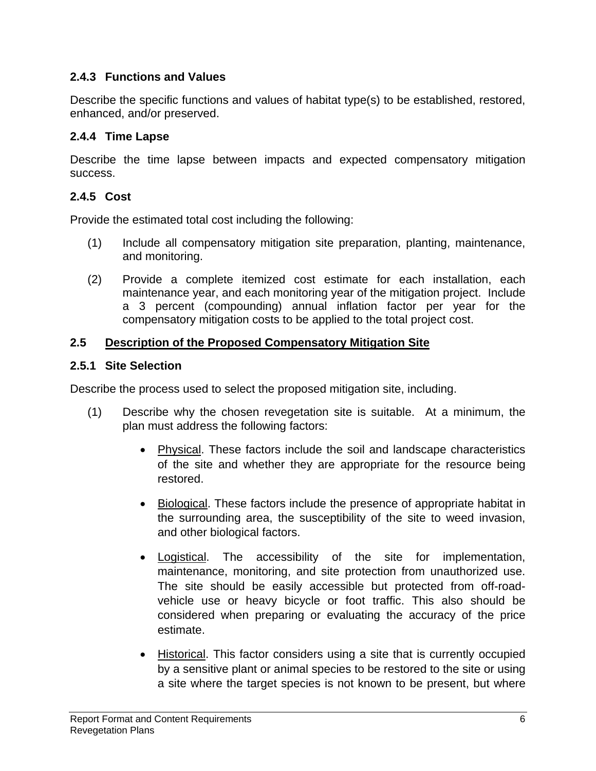## **2.4.3 Functions and Values**

Describe the specific functions and values of habitat type(s) to be established, restored, enhanced, and/or preserved.

## **2.4.4 Time Lapse**

Describe the time lapse between impacts and expected compensatory mitigation success.

## **2.4.5 Cost**

Provide the estimated total cost including the following:

- (1) Include all compensatory mitigation site preparation, planting, maintenance, and monitoring.
- (2) Provide a complete itemized cost estimate for each installation, each maintenance year, and each monitoring year of the mitigation project. Include a 3 percent (compounding) annual inflation factor per year for the compensatory mitigation costs to be applied to the total project cost.

## **2.5 Description of the Proposed Compensatory Mitigation Site**

#### **2.5.1 Site Selection**

Describe the process used to select the proposed mitigation site, including.

- (1) Describe why the chosen revegetation site is suitable. At a minimum, the plan must address the following factors:
	- Physical. These factors include the soil and landscape characteristics of the site and whether they are appropriate for the resource being restored.
	- Biological. These factors include the presence of appropriate habitat in the surrounding area, the susceptibility of the site to weed invasion, and other biological factors.
	- Logistical. The accessibility of the site for implementation, maintenance, monitoring, and site protection from unauthorized use. The site should be easily accessible but protected from off-roadvehicle use or heavy bicycle or foot traffic. This also should be considered when preparing or evaluating the accuracy of the price estimate.
	- Historical. This factor considers using a site that is currently occupied by a sensitive plant or animal species to be restored to the site or using a site where the target species is not known to be present, but where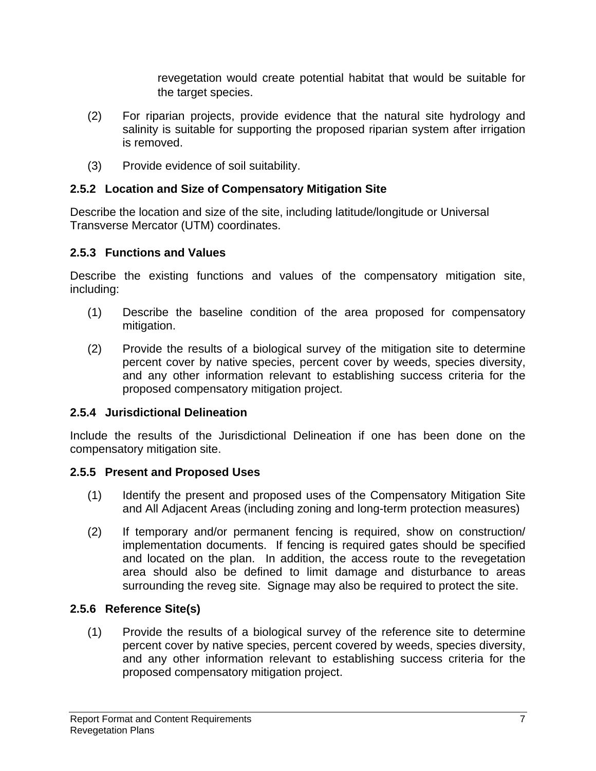revegetation would create potential habitat that would be suitable for the target species.

- (2) For riparian projects, provide evidence that the natural site hydrology and salinity is suitable for supporting the proposed riparian system after irrigation is removed.
- (3) Provide evidence of soil suitability.

## **2.5.2 Location and Size of Compensatory Mitigation Site**

Describe the location and size of the site, including latitude/longitude or Universal Transverse Mercator (UTM) coordinates.

## **2.5.3 Functions and Values**

Describe the existing functions and values of the compensatory mitigation site, including:

- (1) Describe the baseline condition of the area proposed for compensatory mitigation.
- (2) Provide the results of a biological survey of the mitigation site to determine percent cover by native species, percent cover by weeds, species diversity, and any other information relevant to establishing success criteria for the proposed compensatory mitigation project.

## **2.5.4 Jurisdictional Delineation**

Include the results of the Jurisdictional Delineation if one has been done on the compensatory mitigation site.

## **2.5.5 Present and Proposed Uses**

- (1) Identify the present and proposed uses of the Compensatory Mitigation Site and All Adjacent Areas (including zoning and long-term protection measures)
- (2) If temporary and/or permanent fencing is required, show on construction/ implementation documents. If fencing is required gates should be specified and located on the plan. In addition, the access route to the revegetation area should also be defined to limit damage and disturbance to areas surrounding the reveg site. Signage may also be required to protect the site.

## **2.5.6 Reference Site(s)**

(1) Provide the results of a biological survey of the reference site to determine percent cover by native species, percent covered by weeds, species diversity, and any other information relevant to establishing success criteria for the proposed compensatory mitigation project.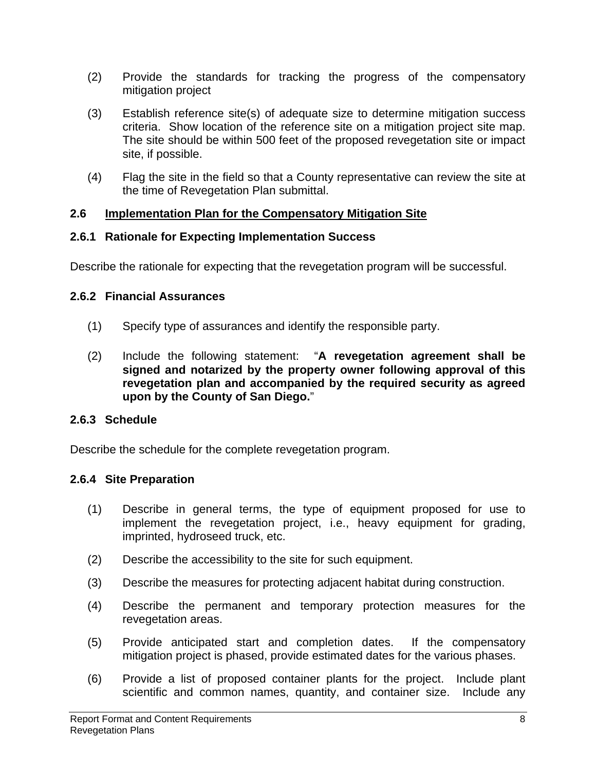- (2) Provide the standards for tracking the progress of the compensatory mitigation project
- (3) Establish reference site(s) of adequate size to determine mitigation success criteria. Show location of the reference site on a mitigation project site map. The site should be within 500 feet of the proposed revegetation site or impact site, if possible.
- (4) Flag the site in the field so that a County representative can review the site at the time of Revegetation Plan submittal.

#### **2.6 Implementation Plan for the Compensatory Mitigation Site**

#### **2.6.1 Rationale for Expecting Implementation Success**

Describe the rationale for expecting that the revegetation program will be successful.

## **2.6.2 Financial Assurances**

- (1) Specify type of assurances and identify the responsible party.
- (2) Include the following statement: "**A revegetation agreement shall be signed and notarized by the property owner following approval of this revegetation plan and accompanied by the required security as agreed upon by the County of San Diego.**"

## **2.6.3 Schedule**

Describe the schedule for the complete revegetation program.

## **2.6.4 Site Preparation**

- (1) Describe in general terms, the type of equipment proposed for use to implement the revegetation project, i.e., heavy equipment for grading, imprinted, hydroseed truck, etc.
- (2) Describe the accessibility to the site for such equipment.
- (3) Describe the measures for protecting adjacent habitat during construction.
- (4) Describe the permanent and temporary protection measures for the revegetation areas.
- (5) Provide anticipated start and completion dates. If the compensatory mitigation project is phased, provide estimated dates for the various phases.
- (6) Provide a list of proposed container plants for the project. Include plant scientific and common names, quantity, and container size. Include any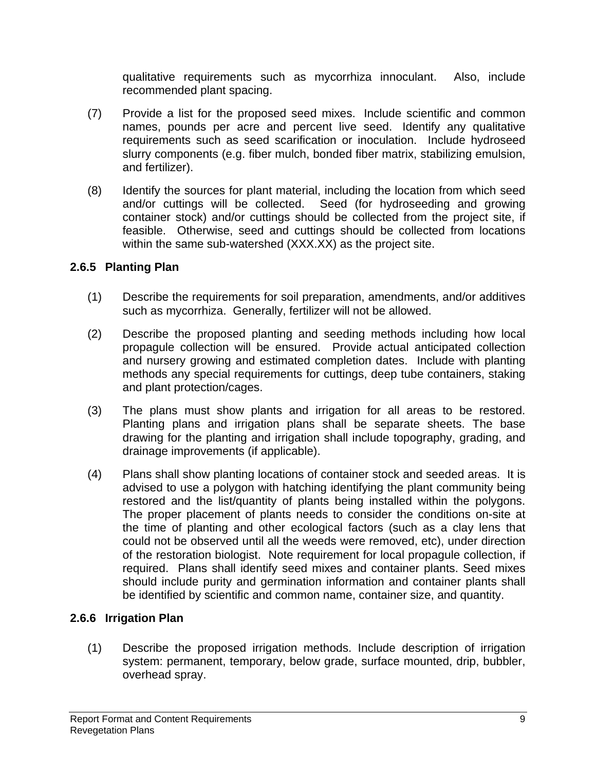qualitative requirements such as mycorrhiza innoculant. Also, include recommended plant spacing.

- (7) Provide a list for the proposed seed mixes. Include scientific and common names, pounds per acre and percent live seed. Identify any qualitative requirements such as seed scarification or inoculation. Include hydroseed slurry components (e.g. fiber mulch, bonded fiber matrix, stabilizing emulsion, and fertilizer).
- (8) Identify the sources for plant material, including the location from which seed and/or cuttings will be collected. Seed (for hydroseeding and growing container stock) and/or cuttings should be collected from the project site, if feasible. Otherwise, seed and cuttings should be collected from locations within the same sub-watershed (XXX.XX) as the project site.

## **2.6.5 Planting Plan**

- (1) Describe the requirements for soil preparation, amendments, and/or additives such as mycorrhiza. Generally, fertilizer will not be allowed.
- (2) Describe the proposed planting and seeding methods including how local propagule collection will be ensured. Provide actual anticipated collection and nursery growing and estimated completion dates. Include with planting methods any special requirements for cuttings, deep tube containers, staking and plant protection/cages.
- (3) The plans must show plants and irrigation for all areas to be restored. Planting plans and irrigation plans shall be separate sheets. The base drawing for the planting and irrigation shall include topography, grading, and drainage improvements (if applicable).
- (4) Plans shall show planting locations of container stock and seeded areas. It is advised to use a polygon with hatching identifying the plant community being restored and the list/quantity of plants being installed within the polygons. The proper placement of plants needs to consider the conditions on-site at the time of planting and other ecological factors (such as a clay lens that could not be observed until all the weeds were removed, etc), under direction of the restoration biologist. Note requirement for local propagule collection, if required. Plans shall identify seed mixes and container plants. Seed mixes should include purity and germination information and container plants shall be identified by scientific and common name, container size, and quantity.

## **2.6.6 Irrigation Plan**

(1) Describe the proposed irrigation methods. Include description of irrigation system: permanent, temporary, below grade, surface mounted, drip, bubbler, overhead spray.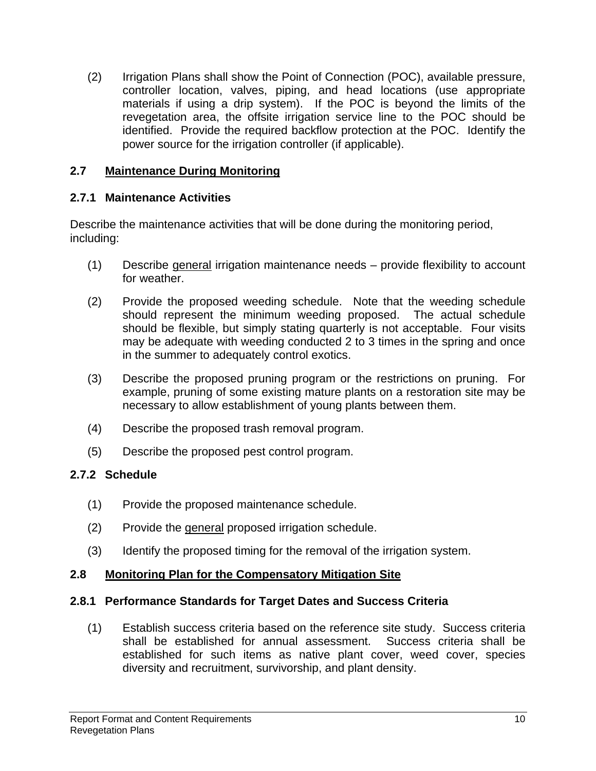(2) Irrigation Plans shall show the Point of Connection (POC), available pressure, controller location, valves, piping, and head locations (use appropriate materials if using a drip system). If the POC is beyond the limits of the revegetation area, the offsite irrigation service line to the POC should be identified. Provide the required backflow protection at the POC. Identify the power source for the irrigation controller (if applicable).

#### **2.7 Maintenance During Monitoring**

## **2.7.1 Maintenance Activities**

Describe the maintenance activities that will be done during the monitoring period, including:

- (1) Describe general irrigation maintenance needs provide flexibility to account for weather.
- (2) Provide the proposed weeding schedule. Note that the weeding schedule should represent the minimum weeding proposed. The actual schedule should be flexible, but simply stating quarterly is not acceptable. Four visits may be adequate with weeding conducted 2 to 3 times in the spring and once in the summer to adequately control exotics.
- (3) Describe the proposed pruning program or the restrictions on pruning. For example, pruning of some existing mature plants on a restoration site may be necessary to allow establishment of young plants between them.
- (4) Describe the proposed trash removal program.
- (5) Describe the proposed pest control program.

## **2.7.2 Schedule**

- (1) Provide the proposed maintenance schedule.
- (2) Provide the general proposed irrigation schedule.
- (3) Identify the proposed timing for the removal of the irrigation system.

## **2.8 Monitoring Plan for the Compensatory Mitigation Site**

#### **2.8.1 Performance Standards for Target Dates and Success Criteria**

(1) Establish success criteria based on the reference site study. Success criteria shall be established for annual assessment. Success criteria shall be established for such items as native plant cover, weed cover, species diversity and recruitment, survivorship, and plant density.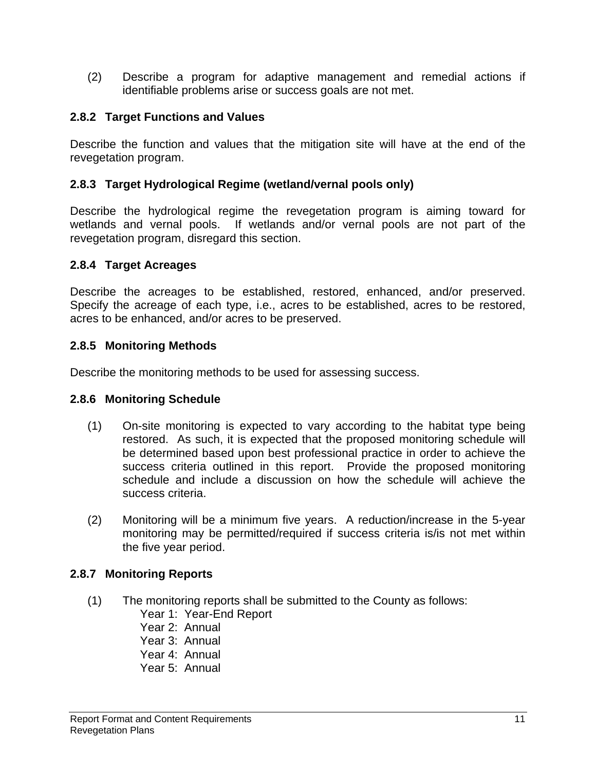(2) Describe a program for adaptive management and remedial actions if identifiable problems arise or success goals are not met.

#### **2.8.2 Target Functions and Values**

Describe the function and values that the mitigation site will have at the end of the revegetation program.

#### **2.8.3 Target Hydrological Regime (wetland/vernal pools only)**

Describe the hydrological regime the revegetation program is aiming toward for wetlands and vernal pools. If wetlands and/or vernal pools are not part of the revegetation program, disregard this section.

#### **2.8.4 Target Acreages**

Describe the acreages to be established, restored, enhanced, and/or preserved. Specify the acreage of each type, i.e., acres to be established, acres to be restored, acres to be enhanced, and/or acres to be preserved.

#### **2.8.5 Monitoring Methods**

Describe the monitoring methods to be used for assessing success.

#### **2.8.6 Monitoring Schedule**

- (1) On-site monitoring is expected to vary according to the habitat type being restored. As such, it is expected that the proposed monitoring schedule will be determined based upon best professional practice in order to achieve the success criteria outlined in this report. Provide the proposed monitoring schedule and include a discussion on how the schedule will achieve the success criteria.
- (2) Monitoring will be a minimum five years. A reduction/increase in the 5-year monitoring may be permitted/required if success criteria is/is not met within the five year period.

#### **2.8.7 Monitoring Reports**

- (1) The monitoring reports shall be submitted to the County as follows:
	- Year 1: Year-End Report
	- Year 2: Annual
	- Year 3: Annual
	- Year 4: Annual
	- Year 5: Annual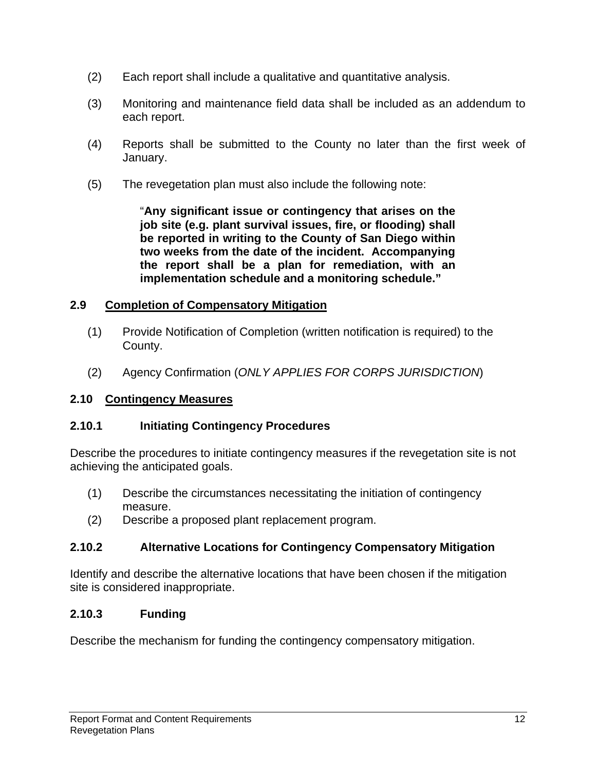- (2) Each report shall include a qualitative and quantitative analysis.
- (3) Monitoring and maintenance field data shall be included as an addendum to each report.
- (4) Reports shall be submitted to the County no later than the first week of January.
- (5) The revegetation plan must also include the following note:

"**Any significant issue or contingency that arises on the job site (e.g. plant survival issues, fire, or flooding) shall be reported in writing to the County of San Diego within two weeks from the date of the incident. Accompanying the report shall be a plan for remediation, with an implementation schedule and a monitoring schedule."**

#### **2.9 Completion of Compensatory Mitigation**

- (1) Provide Notification of Completion (written notification is required) to the County.
- (2) Agency Confirmation (*ONLY APPLIES FOR CORPS JURISDICTION*)

## **2.10 Contingency Measures**

## **2.10.1 Initiating Contingency Procedures**

Describe the procedures to initiate contingency measures if the revegetation site is not achieving the anticipated goals.

- (1) Describe the circumstances necessitating the initiation of contingency measure.
- (2) Describe a proposed plant replacement program.

## **2.10.2 Alternative Locations for Contingency Compensatory Mitigation**

Identify and describe the alternative locations that have been chosen if the mitigation site is considered inappropriate.

## **2.10.3 Funding**

Describe the mechanism for funding the contingency compensatory mitigation.